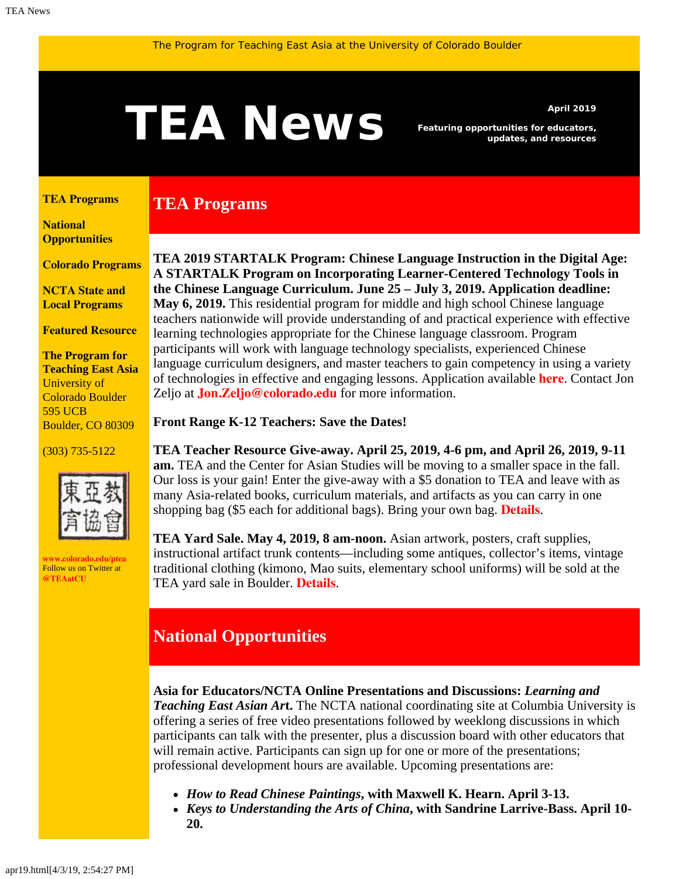# <span id="page-0-1"></span>A News *Featuring opportunities for educators,*<br>and resources

**TEA Programs**

*Featuring opportunities for educators, updates, and resources*

#### <span id="page-0-0"></span>**[TEA Programs](#page-0-0)**

**[National](#page-0-1)  [Opportunities](#page-0-1)**

**[Colorado Programs](#page-0-1)**

**[NCTA State and](#page-2-0) [Local Programs](#page-2-0)**

**[Featured Resource](#page-3-0)**

**The Program for Teaching East Asia** University of Colorado Boulder 595 UCB Boulder, CO 80309

#### (303) 735-5122



**[www.colorado.edu/ptea](http://www.colorado.edu/cas/tea)** Follow us on Twitter at **[@TEAatCU](https://twitter.com/TEAatCU)**

**TEA 2019 STARTALK Program: Chinese Language Instruction in the Digital Age: A STARTALK Program on Incorporating Learner-Centered Technology Tools in the Chinese Language Curriculum. June 25 – July 3, 2019. Application deadline: May 6, 2019.** This residential program for middle and high school Chinese language teachers nationwide will provide understanding of and practical experience with effective learning technologies appropriate for the Chinese language classroom. Program participants will work with language technology specialists, experienced Chinese language curriculum designers, and master teachers to gain competency in using a variety of technologies in effective and engaging lessons. Application available **[here](https://www.colorado.edu/ptea/startalk)**. Contact Jon

**Front Range K-12 Teachers: Save the Dates!**

Zeljo at **[Jon.Zeljo@colorado.edu](mailto: Jon.Zeljo@colorado.edu)** for more information.

**TEA Teacher Resource Give-away. April 25, 2019, 4-6 pm, and April 26, 2019, 9-11 am.** TEA and the Center for Asian Studies will be moving to a smaller space in the fall. Our loss is your gain! Enter the give-away with a \$5 donation to TEA and leave with as many Asia-related books, curriculum materials, and artifacts as you can carry in one shopping bag (\$5 each for additional bags). Bring your own bag. **[Details](https://www.colorado.edu/ptea/node/711/attachment)**.

**TEA Yard Sale. May 4, 2019, 8 am-noon.** Asian artwork, posters, craft supplies, instructional artifact trunk contents—including some antiques, collector's items, vintage traditional clothing (kimono, Mao suits, elementary school uniforms) will be sold at the TEA yard sale in Boulder. **[Details](https://www.colorado.edu/ptea/node/711/attachment)**.

### **National Opportunities**

**Asia for Educators/NCTA Online Presentations and Discussions:** *Learning and Teaching East Asian Ar***t.** The NCTA national coordinating site at Columbia University is offering a series of free video presentations followed by weeklong discussions in which participants can talk with the presenter, plus a discussion board with other educators that will remain active. Participants can sign up for one or more of the presentations; professional development hours are available. Upcoming presentations are:

- *How to Read Chinese Paintings***, with Maxwell K. Hearn. April 3-13.**
- *Keys to Understanding the Arts of China***, with Sandrine Larrive-Bass. April 10- 20.**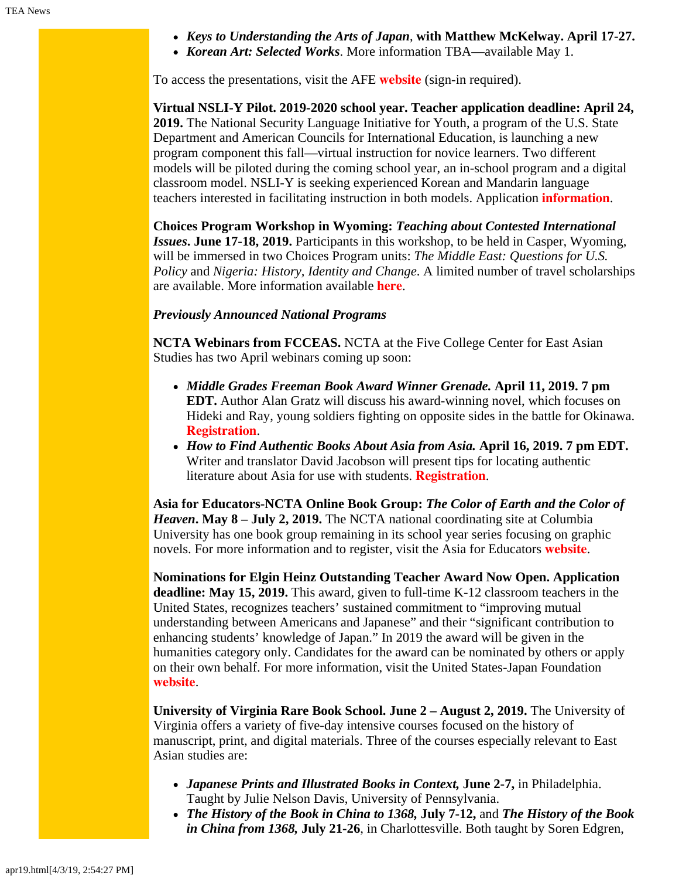- *Keys to Understanding the Arts of Japan*, **with Matthew McKelway. April 17-27.**
- *Korean Art: Selected Works*. More information TBA—available May 1.

To access the presentations, visit the AFE **[website](https://asiaforeducators.org/login/index.php)** (sign-in required).

**Virtual NSLI-Y Pilot. 2019-2020 school year. Teacher application deadline: April 24, 2019.** The National Security Language Initiative for Youth, a program of the U.S. State Department and American Councils for International Education, is launching a new program component this fall—virtual instruction for novice learners. Two different models will be piloted during the coming school year, an in-school program and a digital classroom model. NSLI-Y is seeking experienced Korean and Mandarin language teachers interested in facilitating instruction in both models. Application **[information](https://www.nsliforyouth.org/languages-and-program-experience/virtual#)**.

**Choices Program Workshop in Wyoming:** *Teaching about Contested International Issues***. June 17-18, 2019.** Participants in this workshop, to be held in Casper, Wyoming, will be immersed in two Choices Program units: *The Middle East: Questions for U.S. Policy* and *Nigeria: History, Identity and Change*. A limited number of travel scholarships are available. More information available **[here](http://www.choices.edu/event/teaching-contested-international-issues/)**.

#### *Previously Announced National Programs*

**NCTA Webinars from FCCEAS.** NCTA at the Five College Center for East Asian Studies has two April webinars coming up soon:

- *Middle Grades Freeman Book Award Winner Grenade.* **April 11, 2019. 7 pm EDT.** Author Alan Gratz will discuss his award-winning novel, which focuses on Hideki and Ray, young soldiers fighting on opposite sides in the battle for Okinawa. **[Registration](https://register.gotowebinar.com/register/7258607824323723265)**.
- *How to Find Authentic Books About Asia from Asia.* **April 16, 2019. 7 pm EDT.** Writer and translator David Jacobson will present tips for locating authentic literature about Asia for use with students. **[Registration](https://register.gotowebinar.com/register/6831318916595799554)**.

**Asia for Educators-NCTA Online Book Group:** *The Color of Earth and the Color of Heaven***. May 8 – July 2, 2019.** The NCTA national coordinating site at Columbia University has one book group remaining in its school year series focusing on graphic novels. For more information and to register, visit the Asia for Educators **[website](http://asiaforeducators.org/course/index.php?categoryid=41)**.

**Nominations for Elgin Heinz Outstanding Teacher Award Now Open. Application deadline: May 15, 2019.** This award, given to full-time K-12 classroom teachers in the United States, recognizes teachers' sustained commitment to "improving mutual understanding between Americans and Japanese" and their "significant contribution to enhancing students' knowledge of Japan." In 2019 the award will be given in the humanities category only. Candidates for the award can be nominated by others or apply on their own behalf. For more information, visit the United States-Japan Foundation **[website](https://us-jf.org/programs/elgin-heinz-teacher-awards/)**.

**University of Virginia Rare Book School. June 2 – August 2, 2019.** The University of Virginia offers a variety of five-day intensive courses focused on the history of manuscript, print, and digital materials. Three of the courses especially relevant to East Asian studies are:

- *Japanese Prints and Illustrated Books in Context,* **June 2-7,** in Philadelphia. Taught by Julie Nelson Davis, University of Pennsylvania.
- *The History of the Book in China to 1368,* **July 7-12,** and *The History of the Book in China from 1368,* **July 21-26**, in Charlottesville. Both taught by Soren Edgren,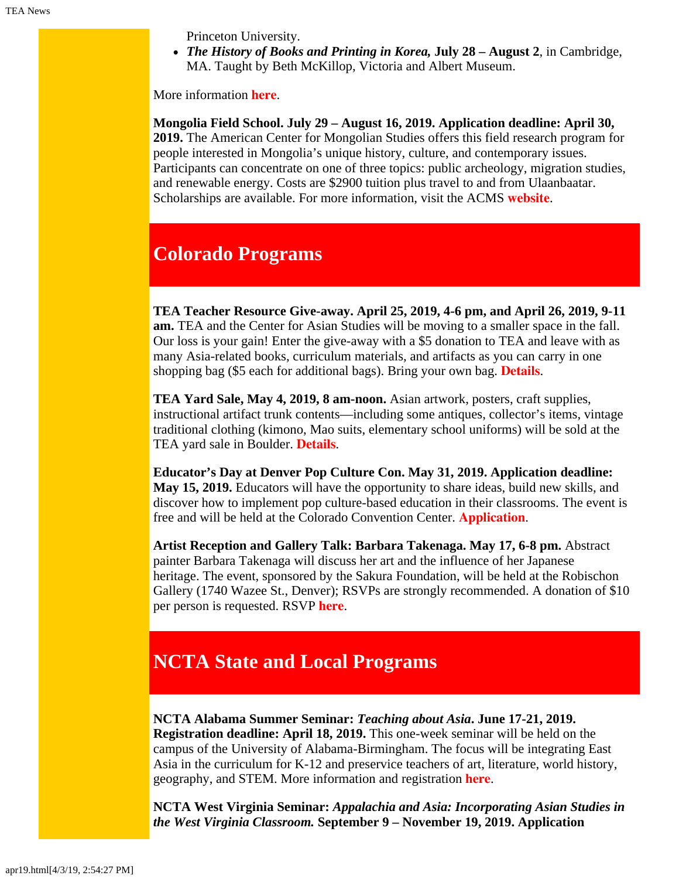Princeton University.

*The History of Books and Printing in Korea,* **July 28 – August 2**, in Cambridge, MA. Taught by Beth McKillop, Victoria and Albert Museum.

More information **[here](http://www.rarebookschool.org/)**.

**Mongolia Field School. July 29 – August 16, 2019. Application deadline: April 30, 2019.** The American Center for Mongolian Studies offers this field research program for people interested in Mongolia's unique history, culture, and contemporary issues. Participants can concentrate on one of three topics: public archeology, migration studies, and renewable energy. Costs are \$2900 tuition plus travel to and from Ulaanbaatar. Scholarships are available. For more information, visit the ACMS **[website](https://www.mongoliacenter.org/acms-mongolia-field-school-2019/)**.

# **Colorado Programs**

**TEA Teacher Resource Give-away. April 25, 2019, 4-6 pm, and April 26, 2019, 9-11 am.** TEA and the Center for Asian Studies will be moving to a smaller space in the fall. Our loss is your gain! Enter the give-away with a \$5 donation to TEA and leave with as many Asia-related books, curriculum materials, and artifacts as you can carry in one shopping bag (\$5 each for additional bags). Bring your own bag. **[Details](https://www.colorado.edu/ptea/node/711/attachment)**.

**TEA Yard Sale, May 4, 2019, 8 am-noon.** Asian artwork, posters, craft supplies, instructional artifact trunk contents—including some antiques, collector's items, vintage traditional clothing (kimono, Mao suits, elementary school uniforms) will be sold at the TEA yard sale in Boulder. **[Details](https://www.colorado.edu/ptea/node/711/attachment)**.

**Educator's Day at Denver Pop Culture Con. May 31, 2019. Application deadline: May 15, 2019.** Educators will have the opportunity to share ideas, build new skills, and discover how to implement pop culture-based education in their classrooms. The event is free and will be held at the Colorado Convention Center. **[Application](https://denverpopculturecon.com/show-info/applications/)**.

**Artist Reception and Gallery Talk: Barbara Takenaga. May 17, 6-8 pm.** Abstract painter Barbara Takenaga will discuss her art and the influence of her Japanese heritage. The event, sponsored by the Sakura Foundation, will be held at the Robischon Gallery (1740 Wazee St., Denver); RSVPs are strongly recommended. A donation of \$10 per person is requested. RSVP **[here](https://www.eventbrite.com/e/reception-and-gallery-talk-featuring-artist-barbara-takenaga-tickets-58820771511)**.

# <span id="page-2-0"></span>**NCTA State and Local Programs**

**NCTA Alabama Summer Seminar:** *Teaching about Asia***. June 17-21, 2019. Registration deadline: April 18, 2019.** This one-week seminar will be held on the campus of the University of Alabama-Birmingham. The focus will be integrating East Asia in the curriculum for K-12 and preservice teachers of art, literature, world history, geography, and STEM. More information and registration **[here](https://www.ucis.pitt.edu/ncta/seminar-site-states/alabama)**.

**NCTA West Virginia Seminar:** *Appalachia and Asia: Incorporating Asian Studies in the West Virginia Classroom.* **September 9 – November 19, 2019. Application**